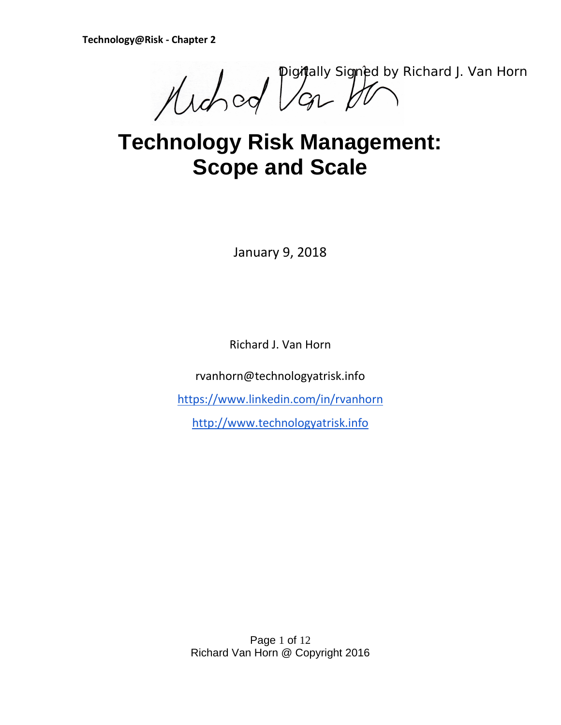Muched Depthally Signed by Richard J. Van Horn

# **Technology Risk Management: Scope and Scale**

January 9, 2018

Richard J. Van Horn

rvanhorn@technologyatrisk.info

<https://www.linkedin.com/in/rvanhorn>

[http://www.technologyatrisk.info](http://www.technologyatrisk.info/)

Page 1 of 12 Richard Van Horn @ Copyright 2016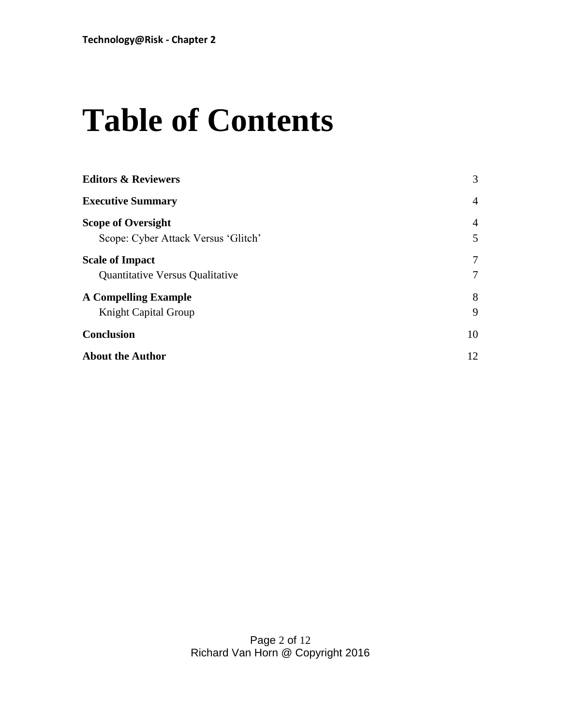# **Table of Contents**

| <b>Editors &amp; Reviewers</b>         | 3              |
|----------------------------------------|----------------|
| <b>Executive Summary</b>               | $\overline{4}$ |
| <b>Scope of Oversight</b>              | $\overline{4}$ |
| Scope: Cyber Attack Versus 'Glitch'    | 5              |
| <b>Scale of Impact</b>                 | 7              |
| <b>Quantitative Versus Qualitative</b> | 7              |
| <b>A Compelling Example</b>            | 8              |
| <b>Knight Capital Group</b>            | 9              |
| <b>Conclusion</b>                      | 10             |
| <b>About the Author</b>                | 12             |
|                                        |                |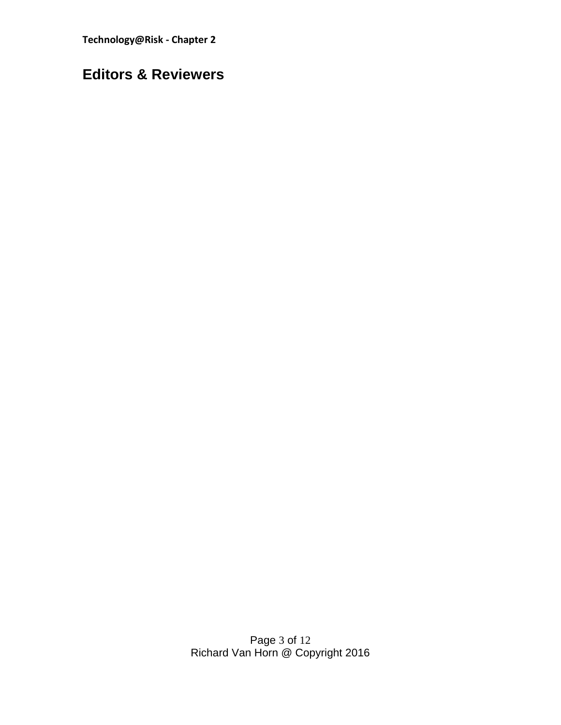**Technology@Risk - Chapter 2**

# <span id="page-2-0"></span>**Editors & Reviewers**

Page 3 of 12 Richard Van Horn @ Copyright 2016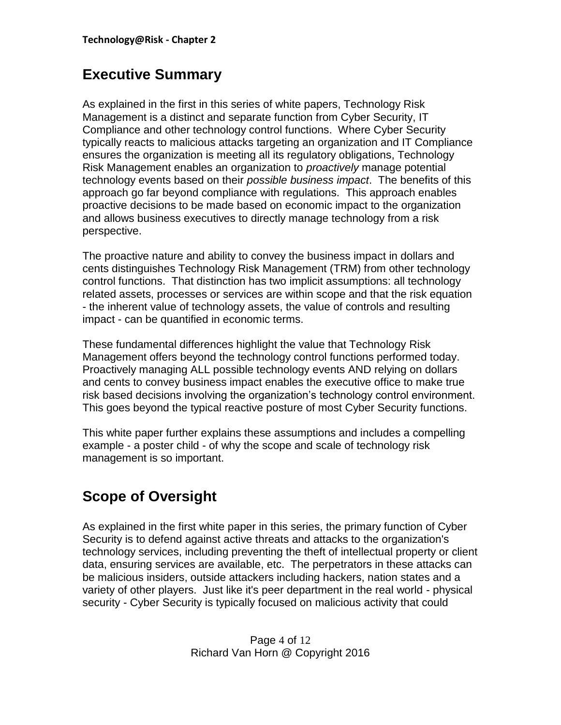# <span id="page-3-0"></span>**Executive Summary**

As explained in the first in this series of white papers, Technology Risk Management is a distinct and separate function from Cyber Security, IT Compliance and other technology control functions. Where Cyber Security typically reacts to malicious attacks targeting an organization and IT Compliance ensures the organization is meeting all its regulatory obligations, Technology Risk Management enables an organization to *proactively* manage potential technology events based on their *possible business impact*. The benefits of this approach go far beyond compliance with regulations. This approach enables proactive decisions to be made based on economic impact to the organization and allows business executives to directly manage technology from a risk perspective.

The proactive nature and ability to convey the business impact in dollars and cents distinguishes Technology Risk Management (TRM) from other technology control functions. That distinction has two implicit assumptions: all technology related assets, processes or services are within scope and that the risk equation - the inherent value of technology assets, the value of controls and resulting impact - can be quantified in economic terms.

These fundamental differences highlight the value that Technology Risk Management offers beyond the technology control functions performed today. Proactively managing ALL possible technology events AND relying on dollars and cents to convey business impact enables the executive office to make true risk based decisions involving the organization's technology control environment. This goes beyond the typical reactive posture of most Cyber Security functions.

This white paper further explains these assumptions and includes a compelling example - a poster child - of why the scope and scale of technology risk management is so important.

# <span id="page-3-1"></span>**Scope of Oversight**

As explained in the first white paper in this series, the primary function of Cyber Security is to defend against active threats and attacks to the organization's technology services, including preventing the theft of intellectual property or client data, ensuring services are available, etc. The perpetrators in these attacks can be malicious insiders, outside attackers including hackers, nation states and a variety of other players. Just like it's peer department in the real world - physical security - Cyber Security is typically focused on malicious activity that could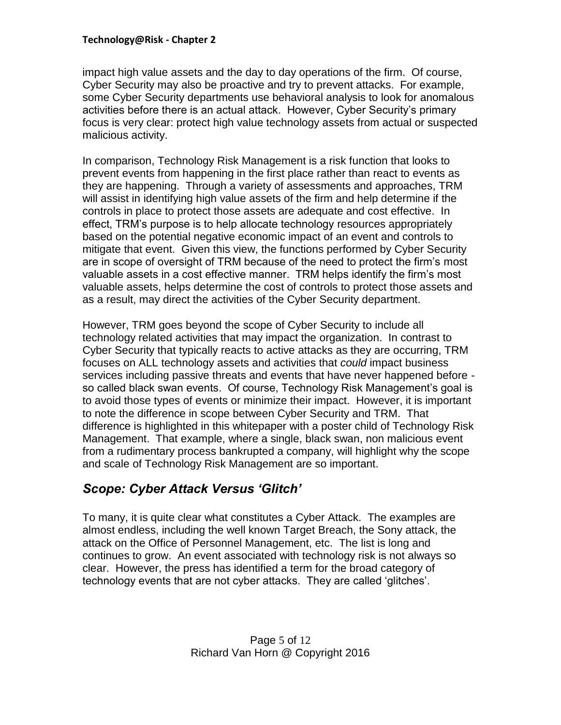impact high value assets and the day to day operations of the firm. Of course, Cyber Security may also be proactive and try to prevent attacks. For example, some Cyber Security departments use behavioral analysis to look for anomalous activities before there is an actual attack. However, Cyber Security's primary focus is very clear: protect high value technology assets from actual or suspected malicious activity.

In comparison, Technology Risk Management is a risk function that looks to prevent events from happening in the first place rather than react to events as they are happening. Through a variety of assessments and approaches, TRM will assist in identifying high value assets of the firm and help determine if the controls in place to protect those assets are adequate and cost effective. In effect, TRM's purpose is to help allocate technology resources appropriately based on the potential negative economic impact of an event and controls to mitigate that event. Given this view, the functions performed by Cyber Security are in scope of oversight of TRM because of the need to protect the firm's most valuable assets in a cost effective manner. TRM helps identify the firm's most valuable assets, helps determine the cost of controls to protect those assets and as a result, may direct the activities of the Cyber Security department.

However, TRM goes beyond the scope of Cyber Security to include all technology related activities that may impact the organization. In contrast to Cyber Security that typically reacts to active attacks as they are occurring, TRM focuses on ALL technology assets and activities that *could* impact business services including passive threats and events that have never happened before so called black swan events. Of course, Technology Risk Management's goal is to avoid those types of events or minimize their impact. However, it is important to note the difference in scope between Cyber Security and TRM. That difference is highlighted in this whitepaper with a poster child of Technology Risk Management. That example, where a single, black swan, non malicious event from a rudimentary process bankrupted a company, will highlight why the scope and scale of Technology Risk Management are so important.

## <span id="page-4-0"></span>*Scope: Cyber Attack Versus 'Glitch'*

To many, it is quite clear what constitutes a Cyber Attack. The examples are almost endless, including the well known Target Breach, the Sony attack, the attack on the Office of Personnel Management, etc. The list is long and continues to grow. An event associated with technology risk is not always so clear. However, the press has identified a term for the broad category of technology events that are not cyber attacks. They are called 'glitches'.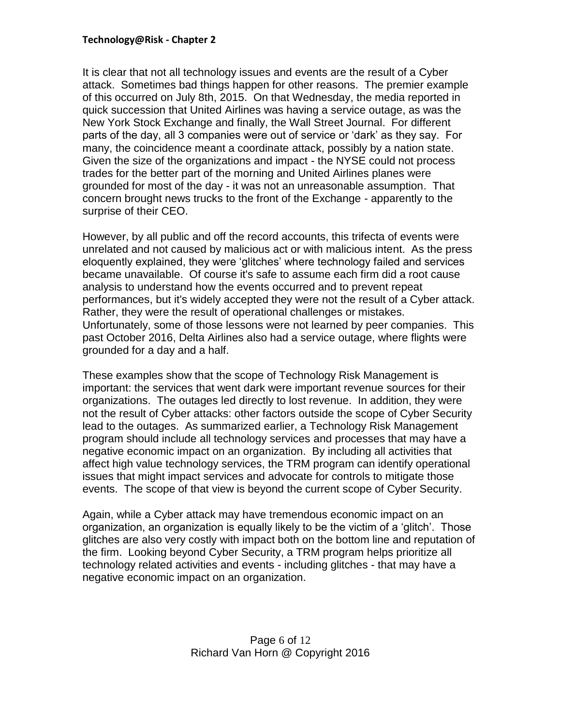#### **Technology@Risk - Chapter 2**

It is clear that not all technology issues and events are the result of a Cyber attack. Sometimes bad things happen for other reasons. The premier example of this occurred on July 8th, 2015. On that Wednesday, the media reported in quick succession that United Airlines was having a service outage, as was the New York Stock Exchange and finally, the Wall Street Journal. For different parts of the day, all 3 companies were out of service or 'dark' as they say. For many, the coincidence meant a coordinate attack, possibly by a nation state. Given the size of the organizations and impact - the NYSE could not process trades for the better part of the morning and United Airlines planes were grounded for most of the day - it was not an unreasonable assumption. That concern brought news trucks to the front of the Exchange - apparently to the surprise of their CEO.

However, by all public and off the record accounts, this trifecta of events were unrelated and not caused by malicious act or with malicious intent. As the press eloquently explained, they were 'glitches' where technology failed and services became unavailable. Of course it's safe to assume each firm did a root cause analysis to understand how the events occurred and to prevent repeat performances, but it's widely accepted they were not the result of a Cyber attack. Rather, they were the result of operational challenges or mistakes. Unfortunately, some of those lessons were not learned by peer companies. This past October 2016, Delta Airlines also had a service outage, where flights were grounded for a day and a half.

These examples show that the scope of Technology Risk Management is important: the services that went dark were important revenue sources for their organizations. The outages led directly to lost revenue. In addition, they were not the result of Cyber attacks: other factors outside the scope of Cyber Security lead to the outages. As summarized earlier, a Technology Risk Management program should include all technology services and processes that may have a negative economic impact on an organization. By including all activities that affect high value technology services, the TRM program can identify operational issues that might impact services and advocate for controls to mitigate those events. The scope of that view is beyond the current scope of Cyber Security.

Again, while a Cyber attack may have tremendous economic impact on an organization, an organization is equally likely to be the victim of a 'glitch'. Those glitches are also very costly with impact both on the bottom line and reputation of the firm. Looking beyond Cyber Security, a TRM program helps prioritize all technology related activities and events - including glitches - that may have a negative economic impact on an organization.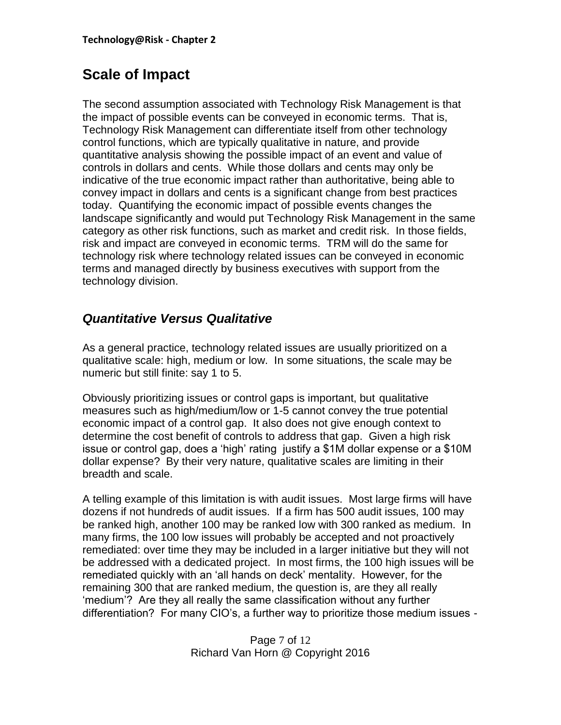# <span id="page-6-0"></span>**Scale of Impact**

The second assumption associated with Technology Risk Management is that the impact of possible events can be conveyed in economic terms. That is, Technology Risk Management can differentiate itself from other technology control functions, which are typically qualitative in nature, and provide quantitative analysis showing the possible impact of an event and value of controls in dollars and cents. While those dollars and cents may only be indicative of the true economic impact rather than authoritative, being able to convey impact in dollars and cents is a significant change from best practices today. Quantifying the economic impact of possible events changes the landscape significantly and would put Technology Risk Management in the same category as other risk functions, such as market and credit risk. In those fields, risk and impact are conveyed in economic terms. TRM will do the same for technology risk where technology related issues can be conveyed in economic terms and managed directly by business executives with support from the technology division.

### <span id="page-6-1"></span>*Quantitative Versus Qualitative*

As a general practice, technology related issues are usually prioritized on a qualitative scale: high, medium or low. In some situations, the scale may be numeric but still finite: say 1 to 5.

Obviously prioritizing issues or control gaps is important, but qualitative measures such as high/medium/low or 1-5 cannot convey the true potential economic impact of a control gap. It also does not give enough context to determine the cost benefit of controls to address that gap. Given a high risk issue or control gap, does a 'high' rating justify a \$1M dollar expense or a \$10M dollar expense? By their very nature, qualitative scales are limiting in their breadth and scale.

A telling example of this limitation is with audit issues. Most large firms will have dozens if not hundreds of audit issues. If a firm has 500 audit issues, 100 may be ranked high, another 100 may be ranked low with 300 ranked as medium. In many firms, the 100 low issues will probably be accepted and not proactively remediated: over time they may be included in a larger initiative but they will not be addressed with a dedicated project. In most firms, the 100 high issues will be remediated quickly with an 'all hands on deck' mentality. However, for the remaining 300 that are ranked medium, the question is, are they all really 'medium'? Are they all really the same classification without any further differentiation? For many CIO's, a further way to prioritize those medium issues -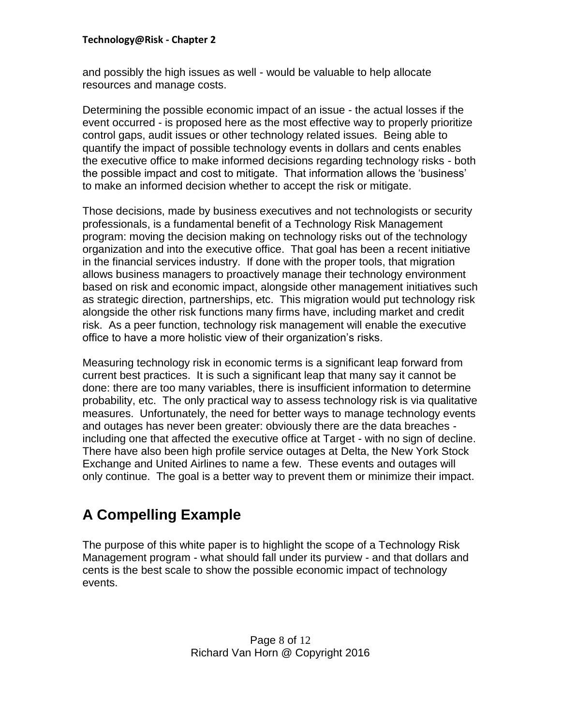#### **Technology@Risk - Chapter 2**

and possibly the high issues as well - would be valuable to help allocate resources and manage costs.

Determining the possible economic impact of an issue - the actual losses if the event occurred - is proposed here as the most effective way to properly prioritize control gaps, audit issues or other technology related issues. Being able to quantify the impact of possible technology events in dollars and cents enables the executive office to make informed decisions regarding technology risks - both the possible impact and cost to mitigate. That information allows the 'business' to make an informed decision whether to accept the risk or mitigate.

Those decisions, made by business executives and not technologists or security professionals, is a fundamental benefit of a Technology Risk Management program: moving the decision making on technology risks out of the technology organization and into the executive office. That goal has been a recent initiative in the financial services industry. If done with the proper tools, that migration allows business managers to proactively manage their technology environment based on risk and economic impact, alongside other management initiatives such as strategic direction, partnerships, etc. This migration would put technology risk alongside the other risk functions many firms have, including market and credit risk. As a peer function, technology risk management will enable the executive office to have a more holistic view of their organization's risks.

Measuring technology risk in economic terms is a significant leap forward from current best practices. It is such a significant leap that many say it cannot be done: there are too many variables, there is insufficient information to determine probability, etc. The only practical way to assess technology risk is via qualitative measures. Unfortunately, the need for better ways to manage technology events and outages has never been greater: obviously there are the data breaches including one that affected the executive office at Target - with no sign of decline. There have also been high profile service outages at Delta, the New York Stock Exchange and United Airlines to name a few. These events and outages will only continue. The goal is a better way to prevent them or minimize their impact.

# <span id="page-7-0"></span>**A Compelling Example**

The purpose of this white paper is to highlight the scope of a Technology Risk Management program - what should fall under its purview - and that dollars and cents is the best scale to show the possible economic impact of technology events.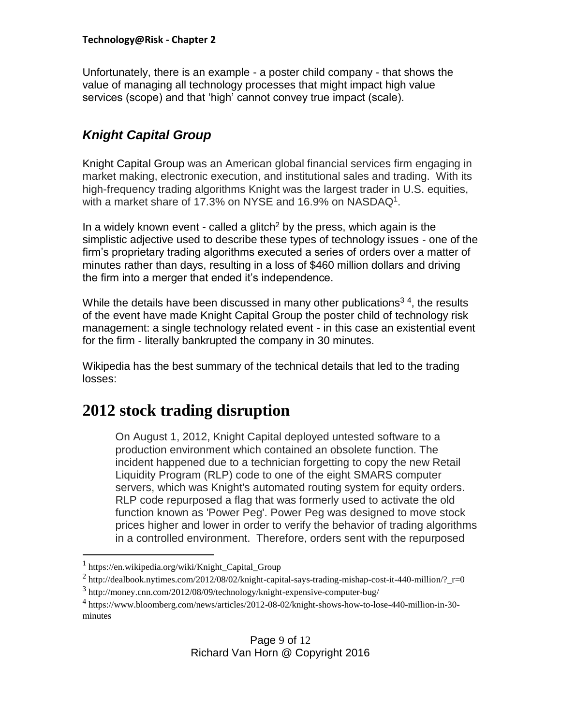Unfortunately, there is an example - a poster child company - that shows the value of managing all technology processes that might impact high value services (scope) and that 'high' cannot convey true impact (scale).

# <span id="page-8-0"></span>*Knight Capital Group*

Knight Capital Group was an American global financial services firm engaging in market making, electronic execution, and institutional sales and trading. With its high-frequency trading algorithms Knight was the largest trader in U.S. equities, with a market share of 17.3% on NYSE and 16.9% on NASDAQ<sup>1</sup>.

In a widely known event - called a glitch<sup>2</sup> by the press, which again is the simplistic adjective used to describe these types of technology issues - one of the firm's proprietary trading algorithms executed a series of orders over a matter of minutes rather than days, resulting in a loss of \$460 million dollars and driving the firm into a merger that ended it's independence.

While the details have been discussed in many other publications<sup>34</sup>, the results of the event have made Knight Capital Group the poster child of technology risk management: a single technology related event - in this case an existential event for the firm - literally bankrupted the company in 30 minutes.

Wikipedia has the best summary of the technical details that led to the trading losses:

# **2012 stock trading disruption**

On August 1, 2012, Knight Capital deployed untested software to a production environment which contained an obsolete function. The incident happened due to a technician forgetting to copy the new Retail Liquidity Program (RLP) code to one of the eight SMARS computer servers, which was Knight's automated routing system for equity orders. RLP code repurposed a flag that was formerly used to activate the old function known as 'Power Peg'. Power Peg was designed to move stock prices higher and lower in order to verify the behavior of trading algorithms in a controlled environment. Therefore, orders sent with the repurposed

 $\overline{a}$ 

<sup>1</sup> https://en.wikipedia.org/wiki/Knight\_Capital\_Group

 $^2$  http://dealbook.nytimes.com/2012/08/02/knight-capital-says-trading-mishap-cost-it-440-million/?\_r=0

<sup>3</sup> http://money.cnn.com/2012/08/09/technology/knight-expensive-computer-bug/

<sup>4</sup> https://www.bloomberg.com/news/articles/2012-08-02/knight-shows-how-to-lose-440-million-in-30 minutes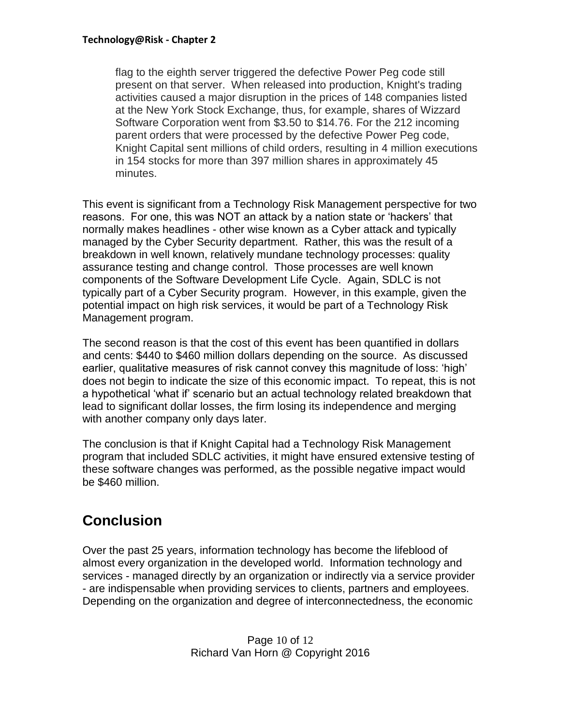flag to the eighth server triggered the defective Power Peg code still present on that server. When released into production, Knight's trading activities caused a major disruption in the prices of 148 companies listed at the New York Stock Exchange, thus, for example, shares of Wizzard Software Corporation went from \$3.50 to \$14.76. For the 212 incoming parent orders that were processed by the defective Power Peg code, Knight Capital sent millions of child orders, resulting in 4 million executions in 154 stocks for more than 397 million shares in approximately 45 minutes.

This event is significant from a Technology Risk Management perspective for two reasons. For one, this was NOT an attack by a nation state or 'hackers' that normally makes headlines - other wise known as a Cyber attack and typically managed by the Cyber Security department. Rather, this was the result of a breakdown in well known, relatively mundane technology processes: quality assurance testing and change control. Those processes are well known components of the Software Development Life Cycle. Again, SDLC is not typically part of a Cyber Security program. However, in this example, given the potential impact on high risk services, it would be part of a Technology Risk Management program.

The second reason is that the cost of this event has been quantified in dollars and cents: \$440 to \$460 million dollars depending on the source. As discussed earlier, qualitative measures of risk cannot convey this magnitude of loss: 'high' does not begin to indicate the size of this economic impact. To repeat, this is not a hypothetical 'what if' scenario but an actual technology related breakdown that lead to significant dollar losses, the firm losing its independence and merging with another company only days later.

The conclusion is that if Knight Capital had a Technology Risk Management program that included SDLC activities, it might have ensured extensive testing of these software changes was performed, as the possible negative impact would be \$460 million.

# <span id="page-9-0"></span>**Conclusion**

Over the past 25 years, information technology has become the lifeblood of almost every organization in the developed world. Information technology and services - managed directly by an organization or indirectly via a service provider - are indispensable when providing services to clients, partners and employees. Depending on the organization and degree of interconnectedness, the economic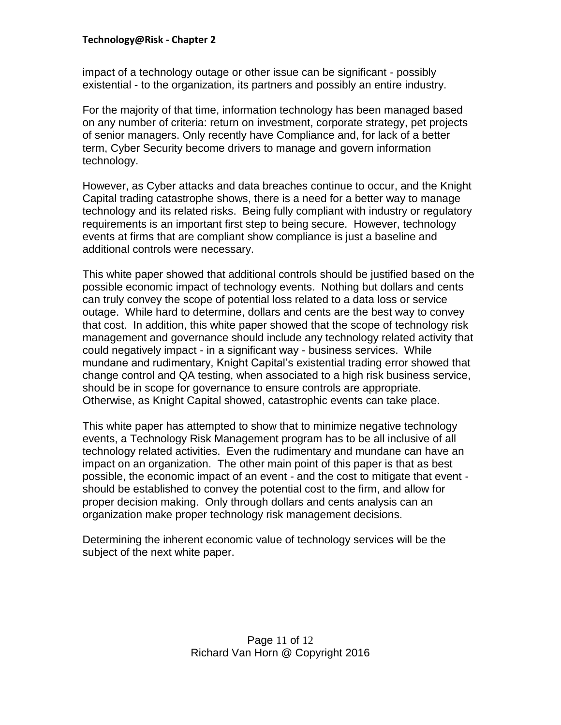impact of a technology outage or other issue can be significant - possibly existential - to the organization, its partners and possibly an entire industry.

For the majority of that time, information technology has been managed based on any number of criteria: return on investment, corporate strategy, pet projects of senior managers. Only recently have Compliance and, for lack of a better term, Cyber Security become drivers to manage and govern information technology.

However, as Cyber attacks and data breaches continue to occur, and the Knight Capital trading catastrophe shows, there is a need for a better way to manage technology and its related risks. Being fully compliant with industry or regulatory requirements is an important first step to being secure. However, technology events at firms that are compliant show compliance is just a baseline and additional controls were necessary.

This white paper showed that additional controls should be justified based on the possible economic impact of technology events. Nothing but dollars and cents can truly convey the scope of potential loss related to a data loss or service outage. While hard to determine, dollars and cents are the best way to convey that cost. In addition, this white paper showed that the scope of technology risk management and governance should include any technology related activity that could negatively impact - in a significant way - business services. While mundane and rudimentary, Knight Capital's existential trading error showed that change control and QA testing, when associated to a high risk business service, should be in scope for governance to ensure controls are appropriate. Otherwise, as Knight Capital showed, catastrophic events can take place.

This white paper has attempted to show that to minimize negative technology events, a Technology Risk Management program has to be all inclusive of all technology related activities. Even the rudimentary and mundane can have an impact on an organization. The other main point of this paper is that as best possible, the economic impact of an event - and the cost to mitigate that event should be established to convey the potential cost to the firm, and allow for proper decision making. Only through dollars and cents analysis can an organization make proper technology risk management decisions.

Determining the inherent economic value of technology services will be the subject of the next white paper.